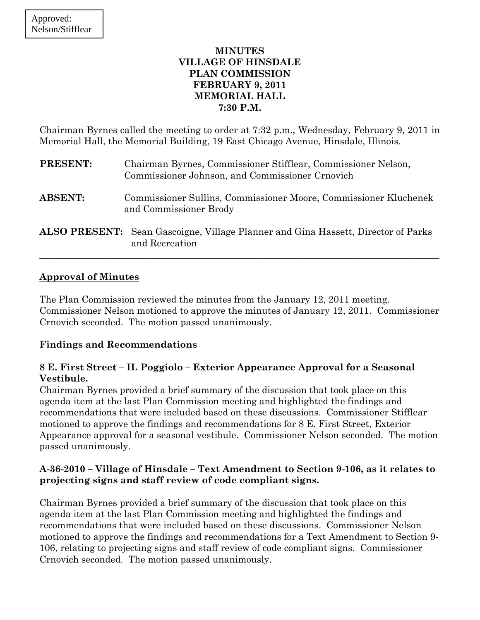## **MINUTES VILLAGE OF HINSDALE PLAN COMMISSION FEBRUARY 9, 2011 MEMORIAL HALL 7:30 P.M.**

Chairman Byrnes called the meeting to order at 7:32 p.m., Wednesday, February 9, 2011 in Memorial Hall, the Memorial Building, 19 East Chicago Avenue, Hinsdale, Illinois.

| <b>PRESENT:</b> | Chairman Byrnes, Commissioner Stifflear, Commissioner Nelson,<br>Commissioner Johnson, and Commissioner Crnovich |
|-----------------|------------------------------------------------------------------------------------------------------------------|
| <b>ABSENT:</b>  | Commissioner Sullins, Commissioner Moore, Commissioner Kluchenek<br>and Commissioner Brody                       |
|                 | <b>ALSO PRESENT:</b> Sean Gascoigne, Village Planner and Gina Hassett, Director of Parks<br>and Recreation       |

## **Approval of Minutes**

The Plan Commission reviewed the minutes from the January 12, 2011 meeting. Commissioner Nelson motioned to approve the minutes of January 12, 2011. Commissioner Crnovich seconded. The motion passed unanimously.

# **Findings and Recommendations**

# **8 E. First Street – IL Poggiolo – Exterior Appearance Approval for a Seasonal Vestibule.**

Chairman Byrnes provided a brief summary of the discussion that took place on this agenda item at the last Plan Commission meeting and highlighted the findings and recommendations that were included based on these discussions. Commissioner Stifflear motioned to approve the findings and recommendations for 8 E. First Street, Exterior Appearance approval for a seasonal vestibule. Commissioner Nelson seconded. The motion passed unanimously.

# **A-36-2010 – Village of Hinsdale – Text Amendment to Section 9-106, as it relates to projecting signs and staff review of code compliant signs.**

Chairman Byrnes provided a brief summary of the discussion that took place on this agenda item at the last Plan Commission meeting and highlighted the findings and recommendations that were included based on these discussions. Commissioner Nelson motioned to approve the findings and recommendations for a Text Amendment to Section 9- 106, relating to projecting signs and staff review of code compliant signs. Commissioner Crnovich seconded. The motion passed unanimously.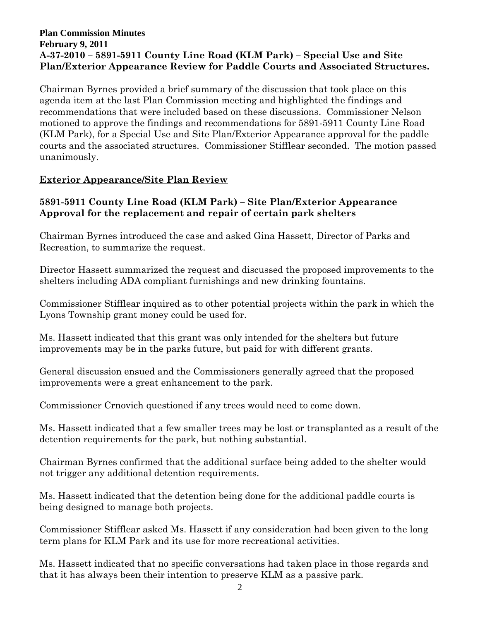### **Plan Commission Minutes February 9, 2011 A-37-2010 – 5891-5911 County Line Road (KLM Park) – Special Use and Site Plan/Exterior Appearance Review for Paddle Courts and Associated Structures.**

Chairman Byrnes provided a brief summary of the discussion that took place on this agenda item at the last Plan Commission meeting and highlighted the findings and recommendations that were included based on these discussions. Commissioner Nelson motioned to approve the findings and recommendations for 5891-5911 County Line Road (KLM Park), for a Special Use and Site Plan/Exterior Appearance approval for the paddle courts and the associated structures. Commissioner Stifflear seconded. The motion passed unanimously.

# **Exterior Appearance/Site Plan Review**

## **5891-5911 County Line Road (KLM Park) – Site Plan/Exterior Appearance Approval for the replacement and repair of certain park shelters**

Chairman Byrnes introduced the case and asked Gina Hassett, Director of Parks and Recreation, to summarize the request.

Director Hassett summarized the request and discussed the proposed improvements to the shelters including ADA compliant furnishings and new drinking fountains.

Commissioner Stifflear inquired as to other potential projects within the park in which the Lyons Township grant money could be used for.

Ms. Hassett indicated that this grant was only intended for the shelters but future improvements may be in the parks future, but paid for with different grants.

General discussion ensued and the Commissioners generally agreed that the proposed improvements were a great enhancement to the park.

Commissioner Crnovich questioned if any trees would need to come down.

Ms. Hassett indicated that a few smaller trees may be lost or transplanted as a result of the detention requirements for the park, but nothing substantial.

Chairman Byrnes confirmed that the additional surface being added to the shelter would not trigger any additional detention requirements.

Ms. Hassett indicated that the detention being done for the additional paddle courts is being designed to manage both projects.

Commissioner Stifflear asked Ms. Hassett if any consideration had been given to the long term plans for KLM Park and its use for more recreational activities.

Ms. Hassett indicated that no specific conversations had taken place in those regards and that it has always been their intention to preserve KLM as a passive park.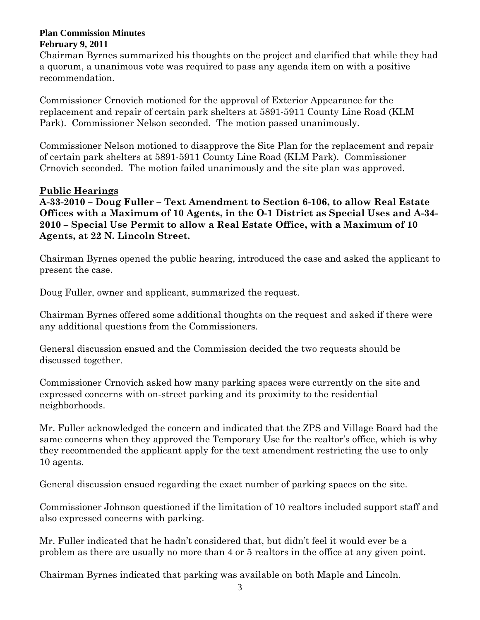Chairman Byrnes summarized his thoughts on the project and clarified that while they had a quorum, a unanimous vote was required to pass any agenda item on with a positive recommendation.

Commissioner Crnovich motioned for the approval of Exterior Appearance for the replacement and repair of certain park shelters at 5891-5911 County Line Road (KLM Park). Commissioner Nelson seconded. The motion passed unanimously.

Commissioner Nelson motioned to disapprove the Site Plan for the replacement and repair of certain park shelters at 5891-5911 County Line Road (KLM Park). Commissioner Crnovich seconded. The motion failed unanimously and the site plan was approved.

# **Public Hearings**

**A-33-2010 – Doug Fuller – Text Amendment to Section 6-106, to allow Real Estate Offices with a Maximum of 10 Agents, in the O-1 District as Special Uses and A-34- 2010 – Special Use Permit to allow a Real Estate Office, with a Maximum of 10 Agents, at 22 N. Lincoln Street.** 

Chairman Byrnes opened the public hearing, introduced the case and asked the applicant to present the case.

Doug Fuller, owner and applicant, summarized the request.

Chairman Byrnes offered some additional thoughts on the request and asked if there were any additional questions from the Commissioners.

General discussion ensued and the Commission decided the two requests should be discussed together.

Commissioner Crnovich asked how many parking spaces were currently on the site and expressed concerns with on-street parking and its proximity to the residential neighborhoods.

Mr. Fuller acknowledged the concern and indicated that the ZPS and Village Board had the same concerns when they approved the Temporary Use for the realtor's office, which is why they recommended the applicant apply for the text amendment restricting the use to only 10 agents.

General discussion ensued regarding the exact number of parking spaces on the site.

Commissioner Johnson questioned if the limitation of 10 realtors included support staff and also expressed concerns with parking.

Mr. Fuller indicated that he hadn't considered that, but didn't feel it would ever be a problem as there are usually no more than 4 or 5 realtors in the office at any given point.

Chairman Byrnes indicated that parking was available on both Maple and Lincoln.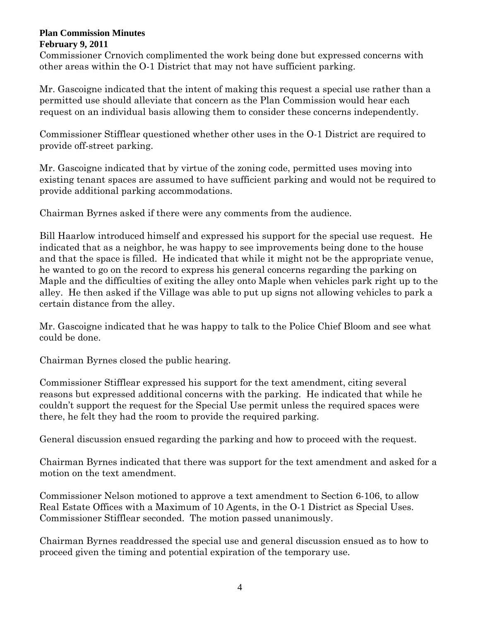Commissioner Crnovich complimented the work being done but expressed concerns with other areas within the O-1 District that may not have sufficient parking.

Mr. Gascoigne indicated that the intent of making this request a special use rather than a permitted use should alleviate that concern as the Plan Commission would hear each request on an individual basis allowing them to consider these concerns independently.

Commissioner Stifflear questioned whether other uses in the O-1 District are required to provide off-street parking.

Mr. Gascoigne indicated that by virtue of the zoning code, permitted uses moving into existing tenant spaces are assumed to have sufficient parking and would not be required to provide additional parking accommodations.

Chairman Byrnes asked if there were any comments from the audience.

Bill Haarlow introduced himself and expressed his support for the special use request. He indicated that as a neighbor, he was happy to see improvements being done to the house and that the space is filled. He indicated that while it might not be the appropriate venue, he wanted to go on the record to express his general concerns regarding the parking on Maple and the difficulties of exiting the alley onto Maple when vehicles park right up to the alley. He then asked if the Village was able to put up signs not allowing vehicles to park a certain distance from the alley.

Mr. Gascoigne indicated that he was happy to talk to the Police Chief Bloom and see what could be done.

Chairman Byrnes closed the public hearing.

Commissioner Stifflear expressed his support for the text amendment, citing several reasons but expressed additional concerns with the parking. He indicated that while he couldn't support the request for the Special Use permit unless the required spaces were there, he felt they had the room to provide the required parking.

General discussion ensued regarding the parking and how to proceed with the request.

Chairman Byrnes indicated that there was support for the text amendment and asked for a motion on the text amendment.

Commissioner Nelson motioned to approve a text amendment to Section 6-106, to allow Real Estate Offices with a Maximum of 10 Agents, in the O-1 District as Special Uses. Commissioner Stifflear seconded. The motion passed unanimously.

Chairman Byrnes readdressed the special use and general discussion ensued as to how to proceed given the timing and potential expiration of the temporary use.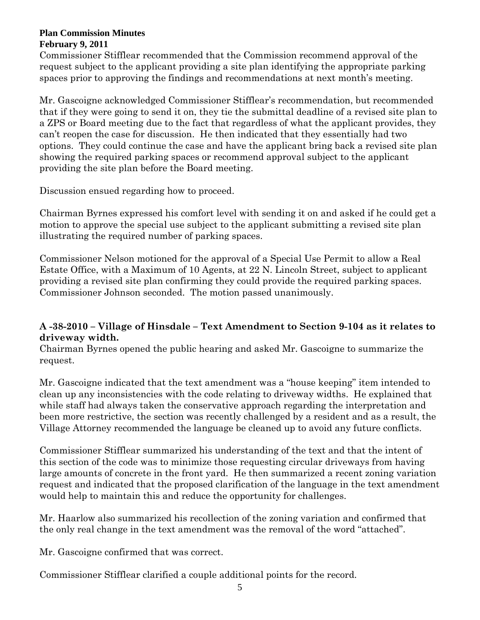Commissioner Stifflear recommended that the Commission recommend approval of the request subject to the applicant providing a site plan identifying the appropriate parking spaces prior to approving the findings and recommendations at next month's meeting.

Mr. Gascoigne acknowledged Commissioner Stifflear's recommendation, but recommended that if they were going to send it on, they tie the submittal deadline of a revised site plan to a ZPS or Board meeting due to the fact that regardless of what the applicant provides, they can't reopen the case for discussion. He then indicated that they essentially had two options. They could continue the case and have the applicant bring back a revised site plan showing the required parking spaces or recommend approval subject to the applicant providing the site plan before the Board meeting.

Discussion ensued regarding how to proceed.

Chairman Byrnes expressed his comfort level with sending it on and asked if he could get a motion to approve the special use subject to the applicant submitting a revised site plan illustrating the required number of parking spaces.

Commissioner Nelson motioned for the approval of a Special Use Permit to allow a Real Estate Office, with a Maximum of 10 Agents, at 22 N. Lincoln Street, subject to applicant providing a revised site plan confirming they could provide the required parking spaces. Commissioner Johnson seconded. The motion passed unanimously.

# **A -38-2010 – Village of Hinsdale – Text Amendment to Section 9-104 as it relates to driveway width.**

Chairman Byrnes opened the public hearing and asked Mr. Gascoigne to summarize the request.

Mr. Gascoigne indicated that the text amendment was a "house keeping" item intended to clean up any inconsistencies with the code relating to driveway widths. He explained that while staff had always taken the conservative approach regarding the interpretation and been more restrictive, the section was recently challenged by a resident and as a result, the Village Attorney recommended the language be cleaned up to avoid any future conflicts.

Commissioner Stifflear summarized his understanding of the text and that the intent of this section of the code was to minimize those requesting circular driveways from having large amounts of concrete in the front yard. He then summarized a recent zoning variation request and indicated that the proposed clarification of the language in the text amendment would help to maintain this and reduce the opportunity for challenges.

Mr. Haarlow also summarized his recollection of the zoning variation and confirmed that the only real change in the text amendment was the removal of the word "attached".

Mr. Gascoigne confirmed that was correct.

Commissioner Stifflear clarified a couple additional points for the record.